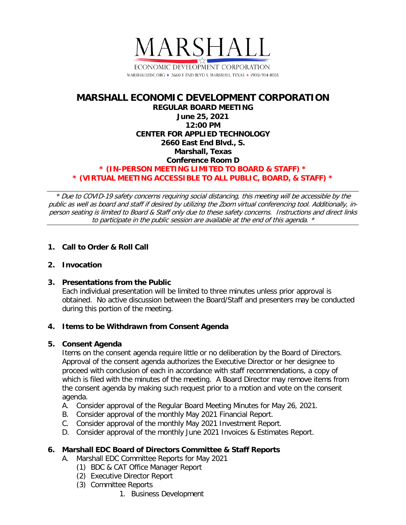

## **MARSHALL ECONOMIC DEVELOPMENT CORPORATION REGULAR BOARD MEETING June 25, 2021 12:00 PM CENTER FOR APPLIED TECHNOLOGY 2660 East End Blvd., S. Marshall, Texas Conference Room D \* (IN-PERSON MEETING LIMITED TO BOARD & STAFF) \* \* (VIRTUAL MEETING ACCESSIBLE TO ALL PUBLIC, BOARD, & STAFF) \***

\* Due to COVID-19 safety concerns requiring social distancing, this meeting will be accessible by the public as well as board and staff if desired by utilizing the Zoom virtual conferencing tool. Additionally, inperson seating is limited to Board & Staff only due to these safety concerns. Instructions and direct links to participate in the public session are available at the end of this agenda. \*

# **1. Call to Order & Roll Call**

### **2. Invocation**

### **3. Presentations from the Public**

Each individual presentation will be limited to three minutes unless prior approval is obtained. No active discussion between the Board/Staff and presenters may be conducted during this portion of the meeting.

### **4. Items to be Withdrawn from Consent Agenda**

### **5. Consent Agenda**

Items on the consent agenda require little or no deliberation by the Board of Directors. Approval of the consent agenda authorizes the Executive Director or her designee to proceed with conclusion of each in accordance with staff recommendations, a copy of which is filed with the minutes of the meeting. A Board Director may remove items from the consent agenda by making such request prior to a motion and vote on the consent agenda.

- A. Consider approval of the Regular Board Meeting Minutes for May 26, 2021.
- B. Consider approval of the monthly May 2021 Financial Report.
- C. Consider approval of the monthly May 2021 Investment Report.
- D. Consider approval of the monthly June 2021 Invoices & Estimates Report.

### **6. Marshall EDC Board of Directors Committee & Staff Reports**

- A. Marshall EDC Committee Reports for May 2021
	- (1) BDC & CAT Office Manager Report
	- (2) Executive Director Report
	- (3) Committee Reports
		- 1. Business Development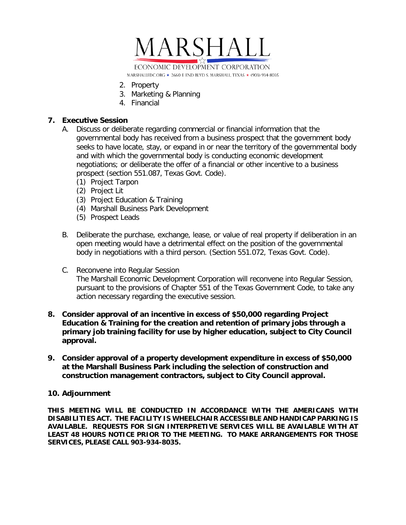

- 2. Property
- 3. Marketing & Planning
- 4. Financial

### **7. Executive Session**

- A. Discuss or deliberate regarding commercial or financial information that the governmental body has received from a business prospect that the government body seeks to have locate, stay, or expand in or near the territory of the governmental body and with which the governmental body is conducting economic development negotiations; or deliberate the offer of a financial or other incentive to a business prospect (section 551.087, Texas Govt. Code).
	- (1) Project Tarpon
	- (2) Project Lit
	- (3) Project Education & Training
	- (4) Marshall Business Park Development
	- (5) Prospect Leads
- B. Deliberate the purchase, exchange, lease, or value of real property if deliberation in an open meeting would have a detrimental effect on the position of the governmental body in negotiations with a third person. (Section 551.072, Texas Govt. Code).
- C. Reconvene into Regular Session The Marshall Economic Development Corporation will reconvene into Regular Session, pursuant to the provisions of Chapter 551 of the Texas Government Code, to take any action necessary regarding the executive session.
- **8. Consider approval of an incentive in excess of \$50,000 regarding Project Education & Training for the creation and retention of primary jobs through a primary job training facility for use by higher education, subject to City Council approval.**
- **9. Consider approval of a property development expenditure in excess of \$50,000 at the Marshall Business Park including the selection of construction and construction management contractors, subject to City Council approval.**

#### **10. Adjournment**

**THIS MEETING WILL BE CONDUCTED IN ACCORDANCE WITH THE AMERICANS WITH DISABILITIES ACT. THE FACILITY IS WHEELCHAIR ACCESSIBLE AND HANDICAP PARKING IS AVAILABLE. REQUESTS FOR SIGN INTERPRETIVE SERVICES WILL BE AVAILABLE WITH AT LEAST 48 HOURS NOTICE PRIOR TO THE MEETING. TO MAKE ARRANGEMENTS FOR THOSE SERVICES, PLEASE CALL 903-934-8035.**